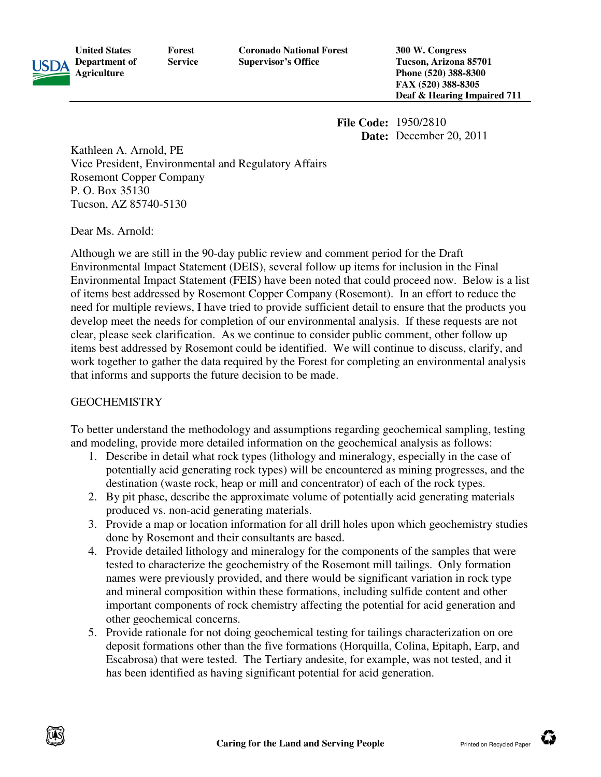

**Department of Forest Service**  **Coronado National Forest Supervisor's Office** 

**300 W. Congress Tucson, Arizona 85701 Phone (520) 388 388-8300 FAX (520) 388 (520) 388-8305**  Deaf & Hearing Impaired 711

**Date:** December 20, 2011 December 20, 2011

Kathleen A. Arnold, PE Vice President, Environmental and Regulatory Affairs Rosemont Copper Company P. O. Box 35130 Tucson, AZ 85740-5130

Dear Ms. Arnold:

**United States** 

**Agriculture**

Although we are still in the 90-day public review and comment period for the Draft Environmental Impact Statement (DEIS), several follow up items for inclusion in the Final Environmental Impact Statement (DEIS), several follow up items for inclusion in the Final<br>Environmental Impact Statement (FEIS) have been noted that could proceed now. Below is a list of items best addressed by Rosemont Copper Company (Rosemont). In an effort to reduce the need for multiple reviews, I have tried to provide sufficient detail to ensure that the products you<br>develop meet the needs for completion of our environmental analysis. If these requests are not develop meet the needs for completion of our environmental analysis. If these requests are not clear, please seek clarification. As we continue to consider public comment, other follow up items best addressed by Rosemont could be identified. We will continue to discuss, clarify, and work together to gather the data required by the Forest for completing an environmental analysis that informs and supports the future decision to be made. **File Code:** 1950/2810<br> **Date:** December<br> **Carring Trangelitary** Affairs<br>
and Regulatory Affairs<br>
the CDEIS), several follow up items for inclusion<br>
the (TEIS) have been noted that could proceed no<br>
menom Coper Company (Ro

### GEOCHEMISTRY

that informs and supports the future decision to be made.<br>GEOCHEMISTRY<br>To better understand the methodology and assumptions regarding geochemical sampling, testing and modeling, provide more detailed information on the geochemical analysis as follows:

- 1. Describe in detail what rock types (lithology and mineralogy, especially in the case of potentially acid generating rock types) will be encountered as mining progresses, and the destination (waste rock, heap or mill and concentrator) of each of the rock types. deling, provide more detailed information on the geochemical analysis as follows:<br>Describe in detail what rock types (lithology and mineralogy, especially in the case of<br>potentially acid generating rock types) will be enco
- 2. By pit phase, describe the approximate volume of potentially acid ge produced vs. non-acid generating materials.
- 3. Provide a map or location information for all drill holes upon which geochemistry studies done by Rosemont and their consultants are based.
- 4. Provide detailed lithology and mineralogy for the components of the samples that were tested to characterize the geochemistry of the Rosemont mill tailings. Only formation names were previously provided, and there would be significant variation in rock type tested to characterize the geochemistry of the Rosemont mill tailings. Only formation<br>names were previously provided, and there would be significant variation in rock type<br>and mineral composition within these formations, i important components of rock chemistry affecting the potential for acid generation other geochemical concerns. f potentially acid generating materials<br>1 holes upon which geochemistry studi<br>d.<br>2 components of the samples that were<br>semont mill tailings. Only formation<br>d be significant variation in rock type<br>, including sulfide conten
- 5. Provide rationale for not doing geochemical testing for tailings characterization on ore important components of rock chemistry affecting the potential for acid generation and<br>other geochemical concerns.<br>Provide rationale for not doing geochemical testing for tailings characterization on ore<br>deposit formations Escabrosa) that were tested. The Tertiary andesite, for example, was not tested, and it has been identified as having significant potential for acid generation. has been identified as having significant potential for acid generation.

Ŵ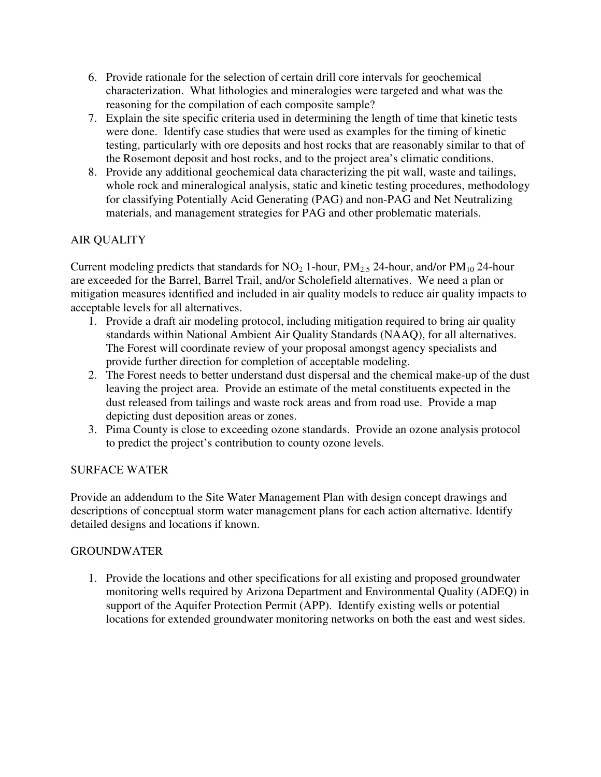- 6. Provide rationale for the selection of certain drill core intervals for geochemical characterization. What lithologies and mineralogies were targeted and what was the reasoning for the compilation of each composite sample?
- 7. Explain the site specific criteria used in determining the length of time that kinetic tests were done. Identify case studies that were used as examples for the timing of kinetic testing, particularly with ore deposits and host rocks that are reasonably similar to that of the Rosemont deposit and host rocks, and to the project area's climatic conditions.
- 8. Provide any additional geochemical data characterizing the pit wall, waste and tailings, whole rock and mineralogical analysis, static and kinetic testing procedures, methodology for classifying Potentially Acid Generating (PAG) and non-PAG and Net Neutralizing materials, and management strategies for PAG and other problematic materials.

# AIR QUALITY

Current modeling predicts that standards for  $NO_2$  1-hour,  $PM_{2.5}$  24-hour, and/or  $PM_{10}$  24-hour are exceeded for the Barrel, Barrel Trail, and/or Scholefield alternatives. We need a plan or mitigation measures identified and included in air quality models to reduce air quality impacts to acceptable levels for all alternatives.

- 1. Provide a draft air modeling protocol, including mitigation required to bring air quality standards within National Ambient Air Quality Standards (NAAQ), for all alternatives. The Forest will coordinate review of your proposal amongst agency specialists and provide further direction for completion of acceptable modeling.
- 2. The Forest needs to better understand dust dispersal and the chemical make-up of the dust leaving the project area. Provide an estimate of the metal constituents expected in the dust released from tailings and waste rock areas and from road use. Provide a map depicting dust deposition areas or zones.
- 3. Pima County is close to exceeding ozone standards. Provide an ozone analysis protocol to predict the project's contribution to county ozone levels.

### SURFACE WATER

Provide an addendum to the Site Water Management Plan with design concept drawings and descriptions of conceptual storm water management plans for each action alternative. Identify detailed designs and locations if known.

### GROUNDWATER

1. Provide the locations and other specifications for all existing and proposed groundwater monitoring wells required by Arizona Department and Environmental Quality (ADEQ) in support of the Aquifer Protection Permit (APP). Identify existing wells or potential locations for extended groundwater monitoring networks on both the east and west sides.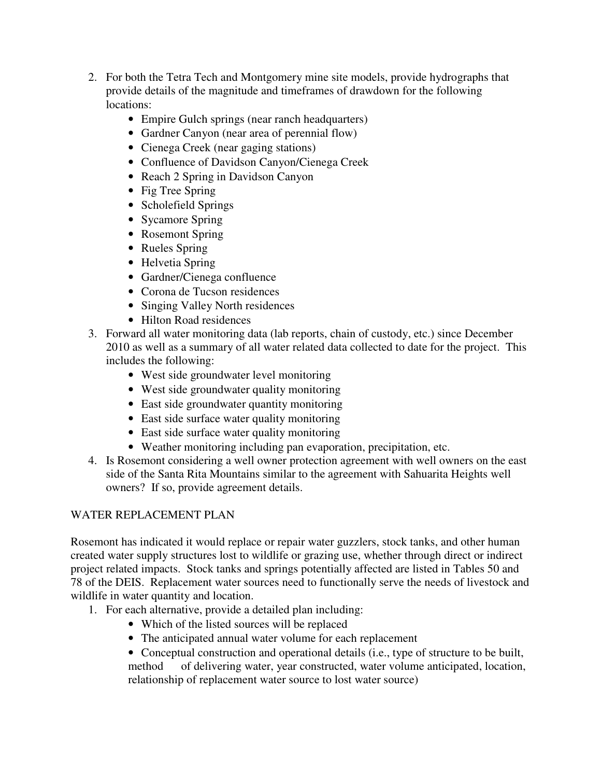- 2. For both the Tetra Tech and Montgomery mine site models, provide hydrographs that provide details of the magnitude and timeframes of drawdown for the following locations:
	- Empire Gulch springs (near ranch headquarters)
	- Gardner Canyon (near area of perennial flow)
	- Cienega Creek (near gaging stations)
	- Confluence of Davidson Canyon/Cienega Creek
	- Reach 2 Spring in Davidson Canyon
	- Fig Tree Spring
	- Scholefield Springs
	- Sycamore Spring
	- Rosemont Spring
	- Rueles Spring
	- Helvetia Spring
	- Gardner/Cienega confluence
	- Corona de Tucson residences
	- Singing Valley North residences
	- Hilton Road residences
- 3. Forward all water monitoring data (lab reports, chain of custody, etc.) since December 2010 as well as a summary of all water related data collected to date for the project. This includes the following:
	- West side groundwater level monitoring
	- West side groundwater quality monitoring
	- East side groundwater quantity monitoring
	- East side surface water quality monitoring
	- East side surface water quality monitoring
	- Weather monitoring including pan evaporation, precipitation, etc.
- 4. Is Rosemont considering a well owner protection agreement with well owners on the east side of the Santa Rita Mountains similar to the agreement with Sahuarita Heights well owners? If so, provide agreement details.

# WATER REPLACEMENT PLAN

Rosemont has indicated it would replace or repair water guzzlers, stock tanks, and other human created water supply structures lost to wildlife or grazing use, whether through direct or indirect project related impacts. Stock tanks and springs potentially affected are listed in Tables 50 and 78 of the DEIS. Replacement water sources need to functionally serve the needs of livestock and wildlife in water quantity and location.

- 1. For each alternative, provide a detailed plan including:
	- Which of the listed sources will be replaced
	- The anticipated annual water volume for each replacement
	- Conceptual construction and operational details (i.e., type of structure to be built, method of delivering water, year constructed, water volume anticipated, location, relationship of replacement water source to lost water source)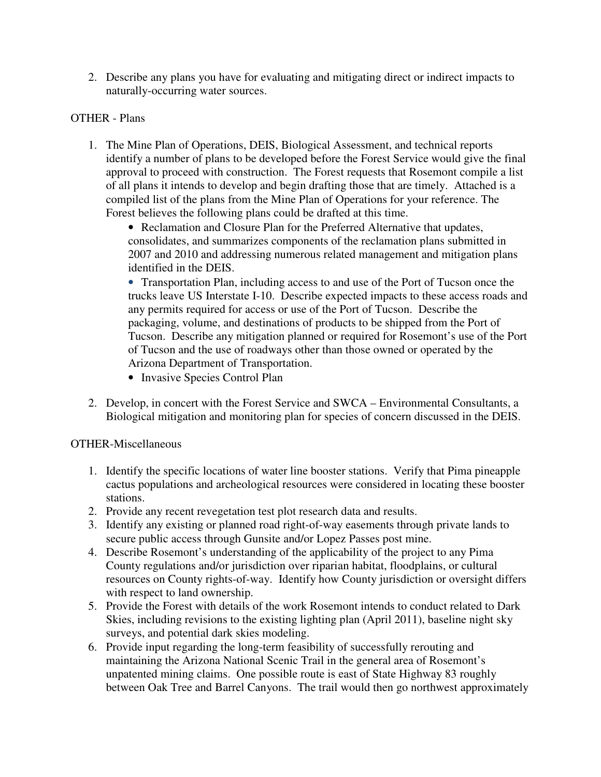2. Describe any plans you have for evaluating and mitigating direct or indirect impacts to naturally-occurring water sources.

#### OTHER - Plans

1. The Mine Plan of Operations, DEIS, Biological Assessment, and technical reports identify a number of plans to be developed before the Forest Service would give the final approval to proceed with construction. The Forest requests that Rosemont compile a list of all plans it intends to develop and begin drafting those that are timely. Attached is a compiled list of the plans from the Mine Plan of Operations for your reference. The Forest believes the following plans could be drafted at this time.

• Reclamation and Closure Plan for the Preferred Alternative that updates, consolidates, and summarizes components of the reclamation plans submitted in 2007 and 2010 and addressing numerous related management and mitigation plans identified in the DEIS.

• Transportation Plan, including access to and use of the Port of Tucson once the trucks leave US Interstate I-10. Describe expected impacts to these access roads and any permits required for access or use of the Port of Tucson. Describe the packaging, volume, and destinations of products to be shipped from the Port of Tucson. Describe any mitigation planned or required for Rosemont's use of the Port of Tucson and the use of roadways other than those owned or operated by the Arizona Department of Transportation.

- Invasive Species Control Plan
- 2. Develop, in concert with the Forest Service and SWCA Environmental Consultants, a Biological mitigation and monitoring plan for species of concern discussed in the DEIS.

#### OTHER-Miscellaneous

- 1. Identify the specific locations of water line booster stations. Verify that Pima pineapple cactus populations and archeological resources were considered in locating these booster stations.
- 2. Provide any recent revegetation test plot research data and results.
- 3. Identify any existing or planned road right-of-way easements through private lands to secure public access through Gunsite and/or Lopez Passes post mine.
- 4. Describe Rosemont's understanding of the applicability of the project to any Pima County regulations and/or jurisdiction over riparian habitat, floodplains, or cultural resources on County rights-of-way. Identify how County jurisdiction or oversight differs with respect to land ownership.
- 5. Provide the Forest with details of the work Rosemont intends to conduct related to Dark Skies, including revisions to the existing lighting plan (April 2011), baseline night sky surveys, and potential dark skies modeling.
- 6. Provide input regarding the long-term feasibility of successfully rerouting and maintaining the Arizona National Scenic Trail in the general area of Rosemont's unpatented mining claims. One possible route is east of State Highway 83 roughly between Oak Tree and Barrel Canyons. The trail would then go northwest approximately